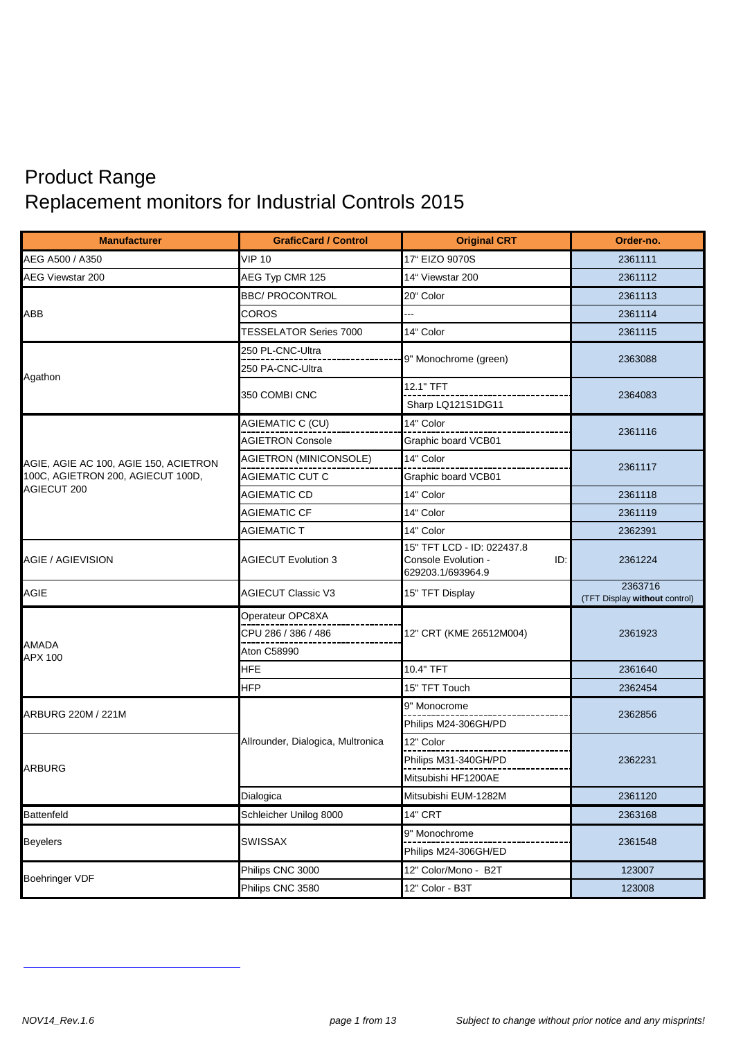## Product Range Replacement monitors for Industrial Controls 2015

| <b>Manufacturer</b>                   | <b>GraficCard / Control</b>       | <b>Original CRT</b>                                                           | Order-no.                                |
|---------------------------------------|-----------------------------------|-------------------------------------------------------------------------------|------------------------------------------|
| AEG A500 / A350                       | <b>VIP 10</b>                     | 17" EIZO 9070S                                                                | 2361111                                  |
| <b>AEG Viewstar 200</b>               | AEG Typ CMR 125                   | 14" Viewstar 200                                                              | 2361112                                  |
|                                       | <b>BBC/ PROCONTROL</b>            | 20" Color                                                                     | 2361113                                  |
| <b>ABB</b>                            | COROS                             |                                                                               | 2361114                                  |
|                                       | <b>TESSELATOR Series 7000</b>     | 14" Color                                                                     | 2361115                                  |
|                                       | 250 PL-CNC-Ultra                  |                                                                               | 2363088                                  |
| Agathon                               | 250 PA-CNC-Ultra                  | 9" Monochrome (green)                                                         |                                          |
|                                       | 350 COMBI CNC                     | 12.1" TFT                                                                     | 2364083                                  |
|                                       |                                   | Sharp LQ121S1DG11                                                             |                                          |
|                                       | AGIEMATIC C (CU)                  | 14" Color                                                                     | 2361116                                  |
|                                       | <b>AGIETRON Console</b>           | Graphic board VCB01                                                           |                                          |
| AGIE, AGIE AC 100, AGIE 150, ACIETRON | AGIETRON (MINICONSOLE)            | 14" Color                                                                     | 2361117                                  |
| 100C, AGIETRON 200, AGIECUT 100D,     | <b>AGIEMATIC CUT C</b>            | Graphic board VCB01                                                           |                                          |
| <b>AGIECUT 200</b>                    | <b>AGIEMATIC CD</b>               | 14" Color                                                                     | 2361118                                  |
|                                       | <b>AGIEMATIC CF</b>               | 14" Color                                                                     | 2361119                                  |
|                                       | <b>AGIEMATIC T</b>                | 14" Color                                                                     | 2362391                                  |
| <b>AGIE / AGIEVISION</b>              | <b>AGIECUT Evolution 3</b>        | 15" TFT LCD - ID: 022437.8<br>Console Evolution -<br>ID:<br>629203.1/693964.9 | 2361224                                  |
| <b>AGIE</b>                           | <b>AGIECUT Classic V3</b>         | 15" TFT Display                                                               | 2363716<br>(TFT Display without control) |
|                                       | Operateur OPC8XA                  | 12" CRT (KME 26512M004)                                                       | 2361923                                  |
|                                       | CPU 286 / 386 / 486               |                                                                               |                                          |
| <b>AMADA</b><br><b>APX 100</b>        | <b>Aton C58990</b>                |                                                                               |                                          |
|                                       | HFE                               | 10.4" TFT                                                                     | 2361640                                  |
|                                       | <b>HFP</b>                        | 15" TFT Touch                                                                 | 2362454                                  |
| ARBURG 220M / 221M                    |                                   | 9" Monocrome                                                                  | 2362856                                  |
|                                       |                                   | Philips M24-306GH/PD                                                          |                                          |
|                                       | Allrounder, Dialogica, Multronica | 12" Color                                                                     |                                          |
| <b>ARBURG</b>                         |                                   | Philips M31-340GH/PD                                                          | 2362231                                  |
|                                       |                                   | Mitsubishi HF1200AE                                                           |                                          |
|                                       | Dialogica                         | Mitsubishi EUM-1282M                                                          | 2361120                                  |
| <b>Battenfeld</b>                     | Schleicher Unilog 8000            | <b>14" CRT</b>                                                                | 2363168                                  |
| <b>Beyelers</b>                       | <b>SWISSAX</b>                    | 9" Monochrome<br>Philips M24-306GH/ED                                         | 2361548                                  |
| <b>Boehringer VDF</b>                 | Philips CNC 3000                  | 12" Color/Mono - B2T                                                          | 123007                                   |
|                                       | Philips CNC 3580                  | 12" Color - B3T                                                               | 123008                                   |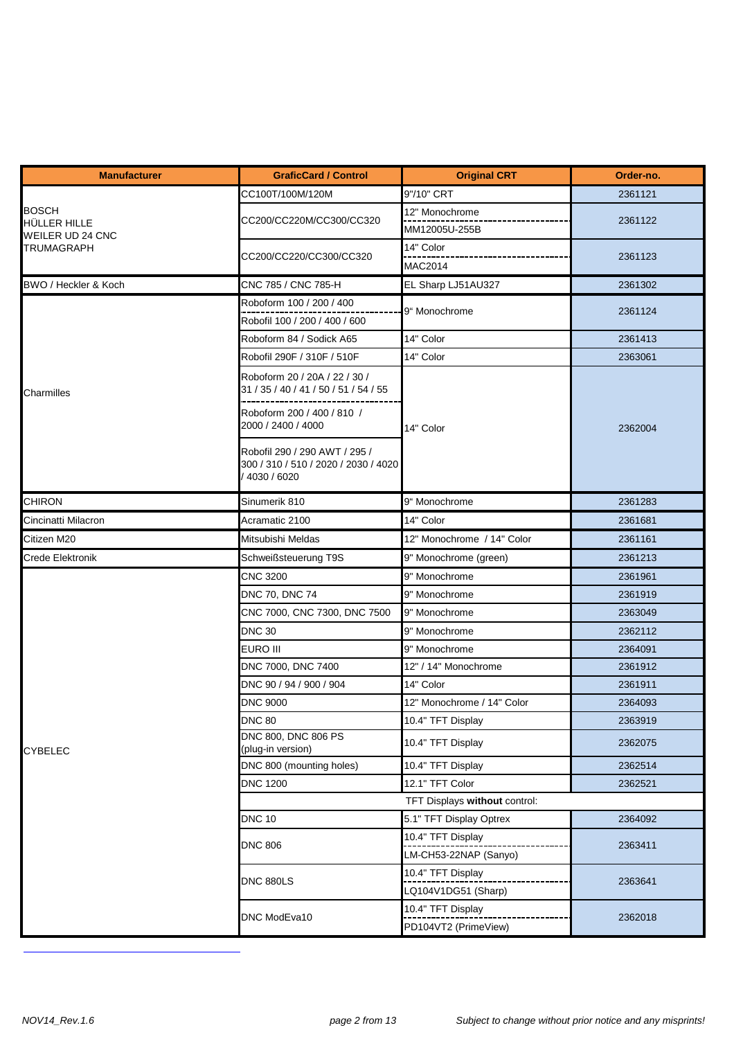| <b>Manufacturer</b>                     | <b>GraficCard / Control</b>                                                          | <b>Original CRT</b>                        | Order-no. |
|-----------------------------------------|--------------------------------------------------------------------------------------|--------------------------------------------|-----------|
|                                         | CC100T/100M/120M                                                                     | 9"/10" CRT                                 | 2361121   |
| <b>BOSCH</b>                            |                                                                                      | 12" Monochrome                             |           |
| HÜLLER HILLE<br><b>WEILER UD 24 CNC</b> | CC200/CC220M/CC300/CC320                                                             | MM12005U-255B                              | 2361122   |
| <b>TRUMAGRAPH</b>                       |                                                                                      | 14" Color                                  |           |
|                                         | CC200/CC220/CC300/CC320                                                              | MAC2014                                    | 2361123   |
| BWO / Heckler & Koch                    | CNC 785 / CNC 785-H                                                                  | EL Sharp LJ51AU327                         | 2361302   |
|                                         | Roboform 100 / 200 / 400                                                             | 9" Monochrome                              | 2361124   |
|                                         | Robofil 100 / 200 / 400 / 600                                                        |                                            |           |
|                                         | Roboform 84 / Sodick A65                                                             | 14" Color                                  | 2361413   |
|                                         | Robofil 290F / 310F / 510F                                                           | 14" Color                                  | 2363061   |
| Charmilles                              | Roboform 20 / 20A / 22 / 30 /<br>31 / 35 / 40 / 41 / 50 / 51 / 54 / 55               |                                            |           |
|                                         | Roboform 200 / 400 / 810 /<br>2000 / 2400 / 4000                                     | 14" Color                                  | 2362004   |
|                                         | Robofil 290 / 290 AWT / 295 /<br>300 / 310 / 510 / 2020 / 2030 / 4020<br>4030 / 6020 |                                            |           |
| <b>CHIRON</b>                           | Sinumerik 810                                                                        | 9" Monochrome                              | 2361283   |
| Cincinatti Milacron                     | Acramatic 2100                                                                       | 14" Color                                  | 2361681   |
| Citizen M20                             | Mitsubishi Meldas                                                                    | 12" Monochrome / 14" Color                 | 2361161   |
| <b>Crede Elektronik</b>                 | Schweißsteuerung T9S                                                                 | 9" Monochrome (green)                      | 2361213   |
|                                         | <b>CNC 3200</b>                                                                      | 9" Monochrome                              | 2361961   |
|                                         | DNC 70, DNC 74                                                                       | 9" Monochrome                              | 2361919   |
|                                         | CNC 7000, CNC 7300, DNC 7500                                                         | 9" Monochrome                              | 2363049   |
|                                         | <b>DNC 30</b>                                                                        | 9" Monochrome                              | 2362112   |
|                                         | <b>EURO III</b>                                                                      | 9" Monochrome                              | 2364091   |
|                                         | DNC 7000, DNC 7400                                                                   | 12" / 14" Monochrome                       | 2361912   |
|                                         | DNC 90 / 94 / 900 / 904                                                              | 14" Color                                  | 2361911   |
|                                         | <b>DNC 9000</b>                                                                      | 12" Monochrome / 14" Color                 | 2364093   |
|                                         | <b>DNC 80</b>                                                                        | 10.4" TFT Display                          | 2363919   |
| <b>CYBELEC</b>                          | DNC 800, DNC 806 PS<br>(plug-in version)                                             | 10.4" TFT Display                          | 2362075   |
|                                         | DNC 800 (mounting holes)                                                             | 10.4" TFT Display                          | 2362514   |
|                                         | <b>DNC 1200</b>                                                                      | 12.1" TFT Color                            | 2362521   |
|                                         |                                                                                      | TFT Displays without control:              |           |
|                                         | <b>DNC 10</b>                                                                        | 5.1" TFT Display Optrex                    | 2364092   |
|                                         | <b>DNC 806</b>                                                                       | 10.4" TFT Display<br>LM-CH53-22NAP (Sanyo) | 2363411   |
|                                         | <b>DNC 880LS</b>                                                                     | 10.4" TFT Display<br>LQ104V1DG51 (Sharp)   | 2363641   |
|                                         | DNC ModEva10                                                                         | 10.4" TFT Display<br>PD104VT2 (PrimeView)  | 2362018   |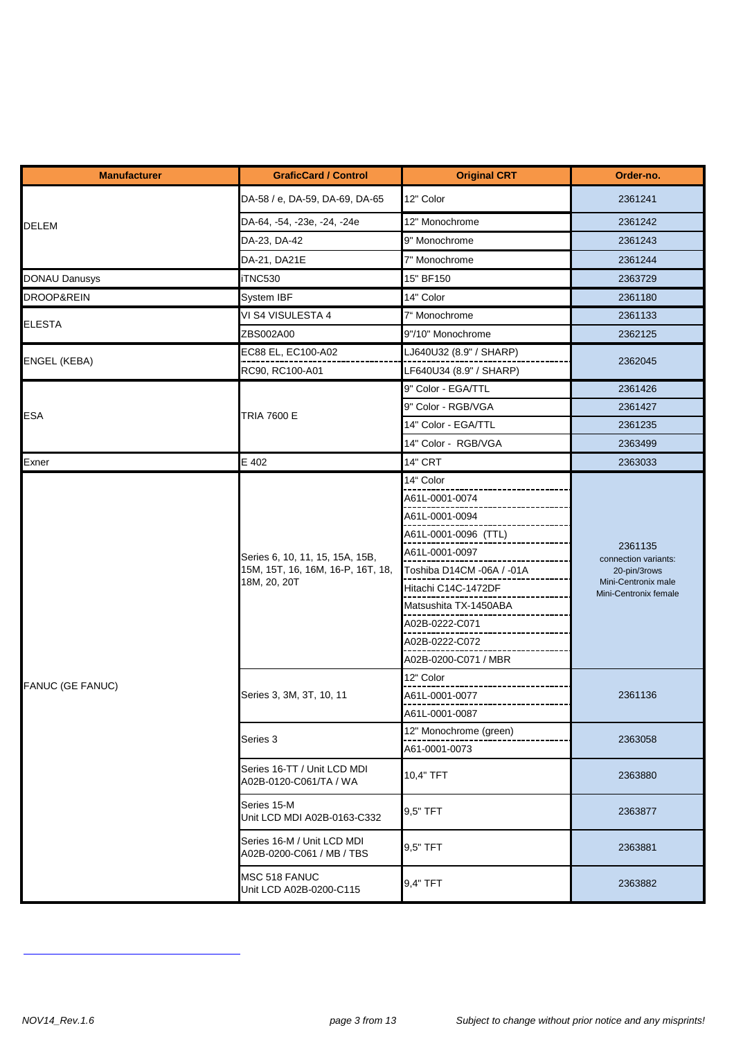| <b>Manufacturer</b>   | <b>GraficCard / Control</b>                                                          | <b>Original CRT</b>       | Order-no.                                                                                       |
|-----------------------|--------------------------------------------------------------------------------------|---------------------------|-------------------------------------------------------------------------------------------------|
|                       | DA-58 / e, DA-59, DA-69, DA-65                                                       | 12" Color                 | 2361241                                                                                         |
| <b>DELEM</b>          | DA-64, -54, -23e, -24, -24e                                                          | 12" Monochrome            | 2361242                                                                                         |
|                       | DA-23, DA-42                                                                         | 9" Monochrome             | 2361243                                                                                         |
|                       | DA-21, DA21E                                                                         | 7" Monochrome             | 2361244                                                                                         |
| <b>DONAU Danusys</b>  | iTNC530                                                                              | 15" BF150                 | 2363729                                                                                         |
| <b>DROOP&amp;REIN</b> | System IBF                                                                           | 14" Color                 | 2361180                                                                                         |
|                       | VI S4 VISULESTA 4                                                                    | 7" Monochrome             | 2361133                                                                                         |
| <b>ELESTA</b>         | ZBS002A00                                                                            | 9"/10" Monochrome         | 2362125                                                                                         |
|                       | EC88 EL, EC100-A02                                                                   | LJ640U32 (8.9" / SHARP)   |                                                                                                 |
| <b>ENGEL (KEBA)</b>   | RC90, RC100-A01                                                                      | LF640U34 (8.9" / SHARP)   | 2362045                                                                                         |
|                       |                                                                                      | 9" Color - EGA/TTL        | 2361426                                                                                         |
| <b>ESA</b>            | TRIA 7600 E                                                                          | 9" Color - RGB/VGA        | 2361427                                                                                         |
|                       |                                                                                      | 14" Color - EGA/TTL       | 2361235                                                                                         |
|                       |                                                                                      | 14" Color - RGB/VGA       | 2363499                                                                                         |
| Exner                 | E 402                                                                                | <b>14" CRT</b>            | 2363033                                                                                         |
|                       |                                                                                      | 14" Color                 | 2361135<br>connection variants:<br>20-pin/3rows<br>Mini-Centronix male<br>Mini-Centronix female |
|                       | Series 6, 10, 11, 15, 15A, 15B,<br>15M, 15T, 16, 16M, 16-P, 16T, 18,<br>18M, 20, 20T | A61L-0001-0074            |                                                                                                 |
|                       |                                                                                      | A61L-0001-0094            |                                                                                                 |
|                       |                                                                                      | A61L-0001-0096 (TTL)      |                                                                                                 |
|                       |                                                                                      | A61L-0001-0097            |                                                                                                 |
|                       |                                                                                      | Toshiba D14CM -06A / -01A |                                                                                                 |
|                       |                                                                                      | Hitachi C14C-1472DF       |                                                                                                 |
|                       |                                                                                      | Matsushita TX-1450ABA     |                                                                                                 |
|                       |                                                                                      | A02B-0222-C071            |                                                                                                 |
|                       |                                                                                      | A02B-0222-C072            |                                                                                                 |
|                       |                                                                                      | A02B-0200-C071 / MBR      |                                                                                                 |
| FANUC (GE FANUC)      |                                                                                      | 12" Color                 |                                                                                                 |
|                       | Series 3, 3M, 3T, 10, 11                                                             | A61L-0001-0077            | 2361136                                                                                         |
|                       |                                                                                      | A61L-0001-0087            |                                                                                                 |
|                       | Series 3                                                                             | 12" Monochrome (green)    | 2363058                                                                                         |
|                       |                                                                                      | A61-0001-0073             |                                                                                                 |
|                       | Series 16-TT / Unit LCD MDI<br>A02B-0120-C061/TA / WA                                | 10,4" TFT                 | 2363880                                                                                         |
|                       | Series 15-M<br>Unit LCD MDI A02B-0163-C332                                           | 9,5" TFT                  | 2363877                                                                                         |
|                       | Series 16-M / Unit LCD MDI<br>A02B-0200-C061 / MB / TBS                              | 9.5" TFT                  | 2363881                                                                                         |
|                       | MSC 518 FANUC<br>Unit LCD A02B-0200-C115                                             | 9,4" TFT                  | 2363882                                                                                         |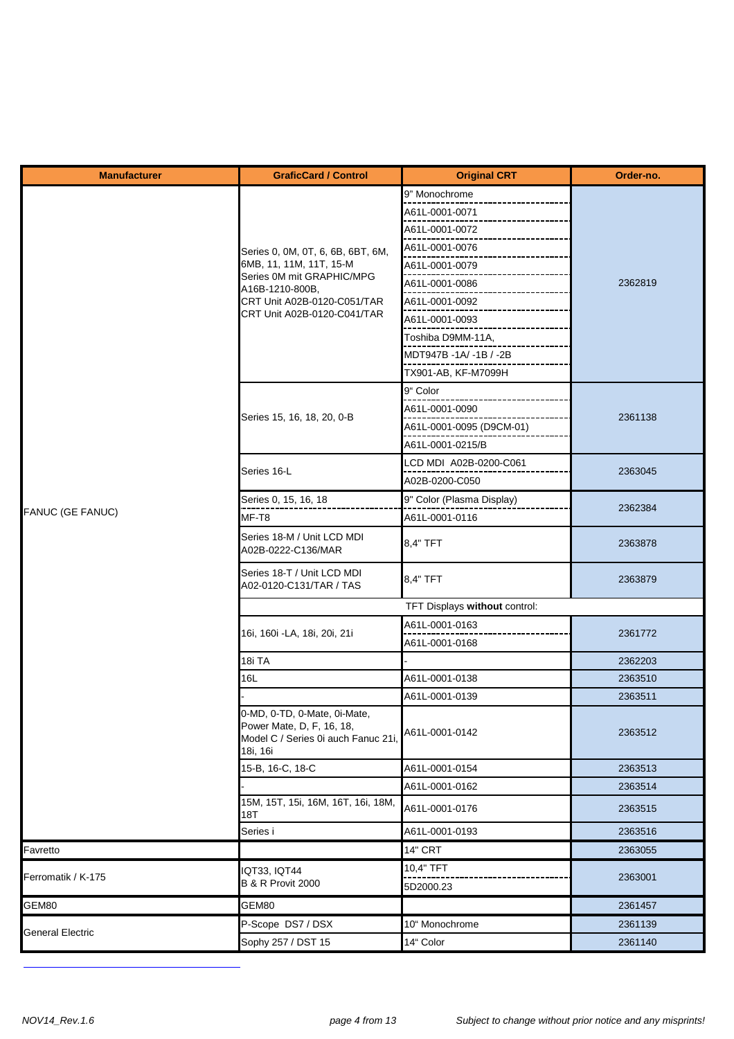| <b>Manufacturer</b>     | <b>GraficCard / Control</b>                                                                                 | <b>Original CRT</b>       | Order-no. |
|-------------------------|-------------------------------------------------------------------------------------------------------------|---------------------------|-----------|
|                         |                                                                                                             | 9" Monochrome             |           |
|                         |                                                                                                             | A61L-0001-0071            |           |
|                         |                                                                                                             | A61L-0001-0072            |           |
|                         | Series 0, 0M, 0T, 6, 6B, 6BT, 6M,                                                                           | A61L-0001-0076            |           |
|                         | 6MB, 11, 11M, 11T, 15-M                                                                                     | A61L-0001-0079            |           |
|                         | Series 0M mit GRAPHIC/MPG<br>A16B-1210-800B.                                                                | A61L-0001-0086            | 2362819   |
|                         | CRT Unit A02B-0120-C051/TAR                                                                                 | A61L-0001-0092            |           |
|                         | CRT Unit A02B-0120-C041/TAR                                                                                 | A61L-0001-0093            |           |
|                         |                                                                                                             | Toshiba D9MM-11A,         |           |
|                         |                                                                                                             | MDT947B-1A/-1B/-2B        |           |
|                         |                                                                                                             | TX901-AB, KF-M7099H       |           |
|                         |                                                                                                             | 9" Color                  |           |
|                         |                                                                                                             | A61L-0001-0090            |           |
|                         | Series 15, 16, 18, 20, 0-B                                                                                  | A61L-0001-0095 (D9CM-01)  | 2361138   |
|                         |                                                                                                             | A61L-0001-0215/B          |           |
|                         |                                                                                                             | LCD MDI A02B-0200-C061    |           |
|                         | Series 16-L                                                                                                 | A02B-0200-C050            | 2363045   |
|                         | Series 0, 15, 16, 18                                                                                        | 9" Color (Plasma Display) |           |
| <b>FANUC (GE FANUC)</b> | MF-T8                                                                                                       | A61L-0001-0116            | 2362384   |
|                         | Series 18-M / Unit LCD MDI<br>A02B-0222-C136/MAR                                                            | 8,4" TFT                  | 2363878   |
|                         | Series 18-T / Unit LCD MDI<br>A02-0120-C131/TAR / TAS                                                       | 8,4" TFT                  | 2363879   |
|                         | TFT Displays without control:                                                                               |                           |           |
|                         | 16i, 160i - LA, 18i, 20i, 21i                                                                               | A61L-0001-0163            | 2361772   |
|                         |                                                                                                             | A61L-0001-0168            |           |
|                         | 18i TA                                                                                                      |                           | 2362203   |
|                         | 16L                                                                                                         | A61L-0001-0138            | 2363510   |
|                         |                                                                                                             | A61L-0001-0139            | 2363511   |
|                         | 0-MD, 0-TD, 0-Mate, 0i-Mate,<br>Power Mate, D, F, 16, 18,<br>Model C / Series 0i auch Fanuc 21i<br>18i, 16i | A61L-0001-0142            | 2363512   |
|                         | 15-B, 16-C, 18-C                                                                                            | A61L-0001-0154            | 2363513   |
|                         |                                                                                                             | A61L-0001-0162            | 2363514   |
|                         | 15M, 15T, 15i, 16M, 16T, 16i, 18M,<br>18T                                                                   | A61L-0001-0176            | 2363515   |
|                         | Series i                                                                                                    | A61L-0001-0193            | 2363516   |
| Favretto                |                                                                                                             | <b>14" CRT</b>            | 2363055   |
| Ferromatik / K-175      | <b>IQT33, IQT44</b>                                                                                         | 10,4" TFT                 | 2363001   |
|                         | <b>B &amp; R Provit 2000</b>                                                                                | 5D2000.23                 |           |
| GEM80                   | GEM80                                                                                                       |                           | 2361457   |
| <b>General Electric</b> | P-Scope DS7 / DSX                                                                                           | 10" Monochrome            | 2361139   |
|                         | Sophy 257 / DST 15                                                                                          | 14" Color                 | 2361140   |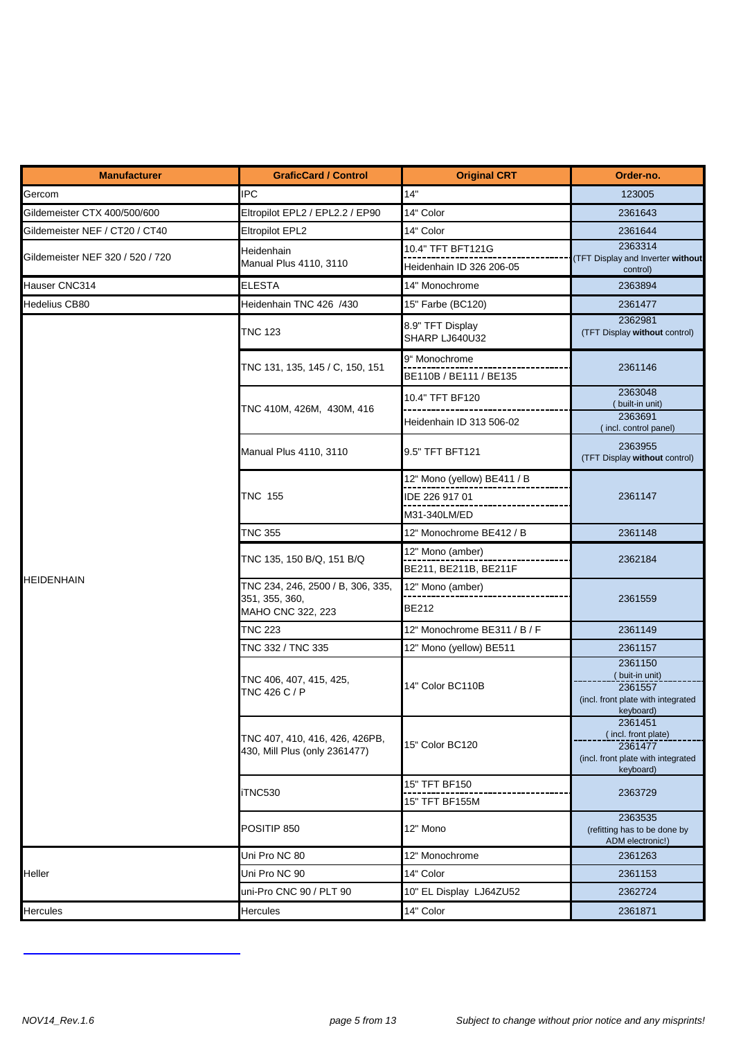| <b>Manufacturer</b>              | <b>GraficCard / Control</b>                                              | <b>Original CRT</b>                       | Order-no.                                                                                    |
|----------------------------------|--------------------------------------------------------------------------|-------------------------------------------|----------------------------------------------------------------------------------------------|
| Gercom                           | <b>IPC</b>                                                               | 14"                                       | 123005                                                                                       |
| Gildemeister CTX 400/500/600     | Eltropilot EPL2 / EPL2.2 / EP90                                          | 14" Color                                 | 2361643                                                                                      |
| Gildemeister NEF / CT20 / CT40   | <b>Eltropilot EPL2</b>                                                   | 14" Color                                 | 2361644                                                                                      |
|                                  | Heidenhain                                                               | 10.4" TFT BFT121G                         | 2363314                                                                                      |
| Gildemeister NEF 320 / 520 / 720 | Manual Plus 4110, 3110                                                   | Heidenhain ID 326 206-05                  | (TFT Display and Inverter without<br>control)                                                |
| Hauser CNC314                    | <b>ELESTA</b>                                                            | 14" Monochrome                            | 2363894                                                                                      |
| <b>Hedelius CB80</b>             | Heidenhain TNC 426 /430                                                  | 15" Farbe (BC120)                         | 2361477                                                                                      |
|                                  | <b>TNC 123</b>                                                           | 8.9" TFT Display<br>SHARP LJ640U32        | 2362981<br>(TFT Display without control)                                                     |
|                                  | TNC 131, 135, 145 / C, 150, 151                                          | 9" Monochrome<br>BE110B / BE111 / BE135   | 2361146                                                                                      |
|                                  | TNC 410M, 426M, 430M, 416                                                | 10.4" TFT BF120                           | 2363048<br>(built-in unit)<br>2363691                                                        |
|                                  |                                                                          | Heidenhain ID 313 506-02                  | (incl. control panel)                                                                        |
|                                  | Manual Plus 4110, 3110                                                   | 9.5" TFT BFT121                           | 2363955<br>(TFT Display without control)                                                     |
|                                  |                                                                          | 12" Mono (yellow) BE411 / B               |                                                                                              |
|                                  | <b>TNC 155</b>                                                           | IDE 226 917 01                            | 2361147                                                                                      |
|                                  |                                                                          | M31-340LM/ED                              |                                                                                              |
|                                  | <b>TNC 355</b>                                                           | 12" Monochrome BE412 / B                  | 2361148                                                                                      |
|                                  | TNC 135, 150 B/Q, 151 B/Q                                                | 12" Mono (amber)<br>BE211, BE211B, BE211F | 2362184                                                                                      |
| <b>HEIDENHAIN</b>                | TNC 234, 246, 2500 / B, 306, 335,<br>351, 355, 360,<br>MAHO CNC 322, 223 | 12" Mono (amber)<br><b>BE212</b>          | 2361559                                                                                      |
|                                  | <b>TNC 223</b>                                                           | 12" Monochrome BE311 / B / F              | 2361149                                                                                      |
|                                  | TNC 332 / TNC 335                                                        | 12" Mono (yellow) BE511                   | 2361157                                                                                      |
|                                  | TNC 406, 407, 415, 425,<br>TNC 426 C / P                                 | 14" Color BC110B                          | 2361150<br>(buit-in unit)<br>2361557<br>(incl. front plate with integrated<br>keyboard)      |
|                                  | TNC 407, 410, 416, 426, 426PB,<br>430, Mill Plus (only 2361477)          | 15" Color BC120                           | 2361451<br>(incl. front plate)<br>2361477<br>(incl. front plate with integrated<br>keyboard) |
|                                  | iTNC530                                                                  | 15" TFT BF150                             |                                                                                              |
|                                  |                                                                          | 15" TFT BF155M                            | 2363729                                                                                      |
|                                  | POSITIP 850                                                              | 12" Mono                                  | 2363535<br>(refitting has to be done by<br>ADM electronic!)                                  |
|                                  | Uni Pro NC 80                                                            | 12" Monochrome                            | 2361263                                                                                      |
| Heller                           | Uni Pro NC 90                                                            | 14" Color                                 | 2361153                                                                                      |
|                                  | uni-Pro CNC 90 / PLT 90                                                  | 10" EL Display LJ64ZU52                   | 2362724                                                                                      |
| <b>Hercules</b>                  | <b>Hercules</b>                                                          | 14" Color                                 | 2361871                                                                                      |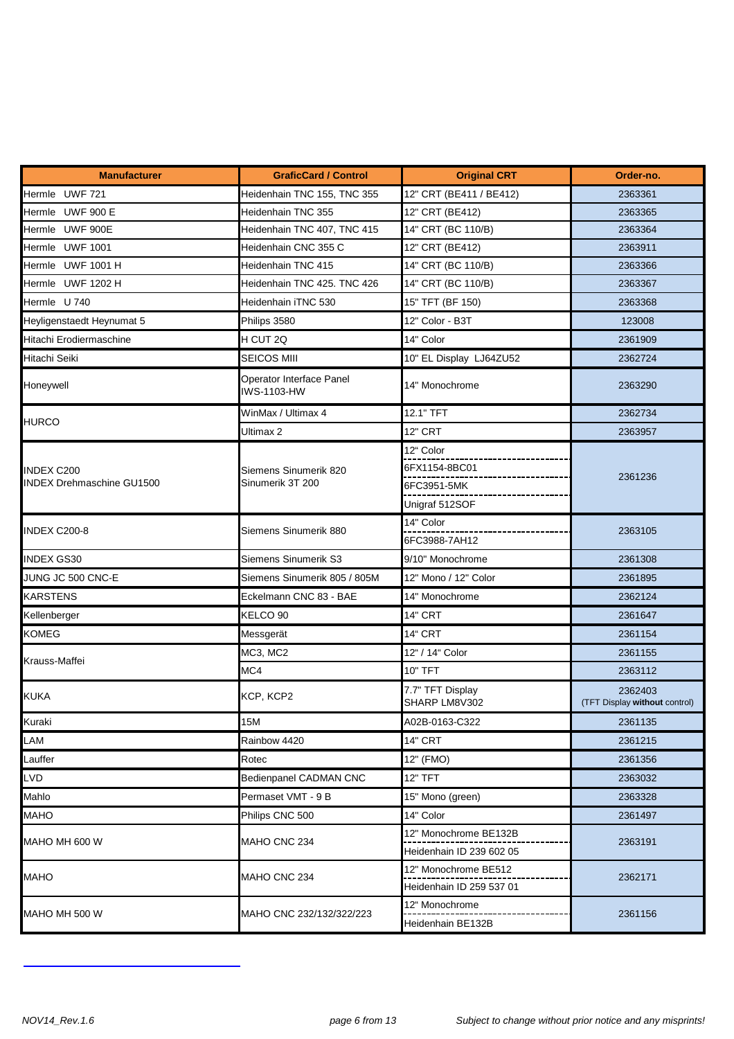| <b>Manufacturer</b>              | <b>GraficCard / Control</b>             | <b>Original CRT</b>               | Order-no.                                |
|----------------------------------|-----------------------------------------|-----------------------------------|------------------------------------------|
| Hermle UWF 721                   | Heidenhain TNC 155, TNC 355             | 12" CRT (BE411 / BE412)           | 2363361                                  |
| Hermle UWF 900 E                 | Heidenhain TNC 355                      | 12" CRT (BE412)                   | 2363365                                  |
| Hermle UWF 900E                  | Heidenhain TNC 407, TNC 415             | 14" CRT (BC 110/B)                | 2363364                                  |
| Hermle UWF 1001                  | Heidenhain CNC 355 C                    | 12" CRT (BE412)                   | 2363911                                  |
| Hermle UWF 1001 H                | Heidenhain TNC 415                      | 14" CRT (BC 110/B)                | 2363366                                  |
| Hermle UWF 1202 H                | Heidenhain TNC 425. TNC 426             | 14" CRT (BC 110/B)                | 2363367                                  |
| Hermle U 740                     | Heidenhain iTNC 530                     | 15" TFT (BF 150)                  | 2363368                                  |
| Heyligenstaedt Heynumat 5        | Philips 3580                            | 12" Color - B3T                   | 123008                                   |
| Hitachi Erodiermaschine          | H CUT 2Q                                | 14" Color                         | 2361909                                  |
| Hitachi Seiki                    | <b>SEICOS MIII</b>                      | 10" EL Display LJ64ZU52           | 2362724                                  |
| Honeywell                        | Operator Interface Panel<br>IWS-1103-HW | 14" Monochrome                    | 2363290                                  |
|                                  | WinMax / Ultimax 4                      | 12.1" TFT                         | 2362734                                  |
| <b>HURCO</b>                     | Ultimax 2                               | <b>12" CRT</b>                    | 2363957                                  |
|                                  |                                         | 12" Color                         |                                          |
| <b>INDEX C200</b>                | Siemens Sinumerik 820                   | 6FX1154-8BC01                     |                                          |
| <b>INDEX Drehmaschine GU1500</b> | Sinumerik 3T 200                        | 6FC3951-5MK                       | 2361236                                  |
|                                  |                                         | Unigraf 512SOF                    |                                          |
|                                  |                                         | 14" Color                         |                                          |
| INDEX C200-8                     | Siemens Sinumerik 880                   | 6FC3988-7AH12                     | 2363105                                  |
| <b>INDEX GS30</b>                | Siemens Sinumerik S3                    | 9/10" Monochrome                  | 2361308                                  |
| JUNG JC 500 CNC-E                | Siemens Sinumerik 805 / 805M            | 12" Mono / 12" Color              | 2361895                                  |
| <b>KARSTENS</b>                  | Eckelmann CNC 83 - BAE                  | 14" Monochrome                    | 2362124                                  |
| Kellenberger                     | KELCO 90                                | <b>14" CRT</b>                    | 2361647                                  |
| <b>KOMEG</b>                     | Messgerät                               | <b>14" CRT</b>                    | 2361154                                  |
|                                  | MC3, MC2                                | 12" / 14" Color                   | 2361155                                  |
| Krauss-Maffei                    | MC4                                     | <b>10" TFT</b>                    | 2363112                                  |
| <b>KUKA</b>                      | KCP, KCP2                               | 7.7" TFT Display<br>SHARP LM8V302 | 2362403<br>(TFT Display without control) |
| Kuraki                           | 15M                                     | A02B-0163-C322                    | 2361135                                  |
| LAM                              | Rainbow 4420                            | <b>14" CRT</b>                    | 2361215                                  |
| Lauffer                          | Rotec                                   | 12" (FMO)                         | 2361356                                  |
| LVD                              | Bedienpanel CADMAN CNC                  | 12" TFT                           | 2363032                                  |
| Mahlo                            | Permaset VMT - 9 B                      | 15" Mono (green)                  | 2363328                                  |
| <b>MAHO</b>                      | Philips CNC 500                         | 14" Color                         | 2361497                                  |
|                                  |                                         | 12" Monochrome BE132B             |                                          |
| MAHO MH 600 W                    | MAHO CNC 234                            | Heidenhain ID 239 602 05          | 2363191                                  |
|                                  |                                         | 12" Monochrome BE512              |                                          |
| <b>MAHO</b>                      | MAHO CNC 234                            | Heidenhain ID 259 537 01          | 2362171                                  |
|                                  |                                         | 12" Monochrome                    |                                          |
| MAHO MH 500 W                    | MAHO CNC 232/132/322/223                | Heidenhain BE132B                 | 2361156                                  |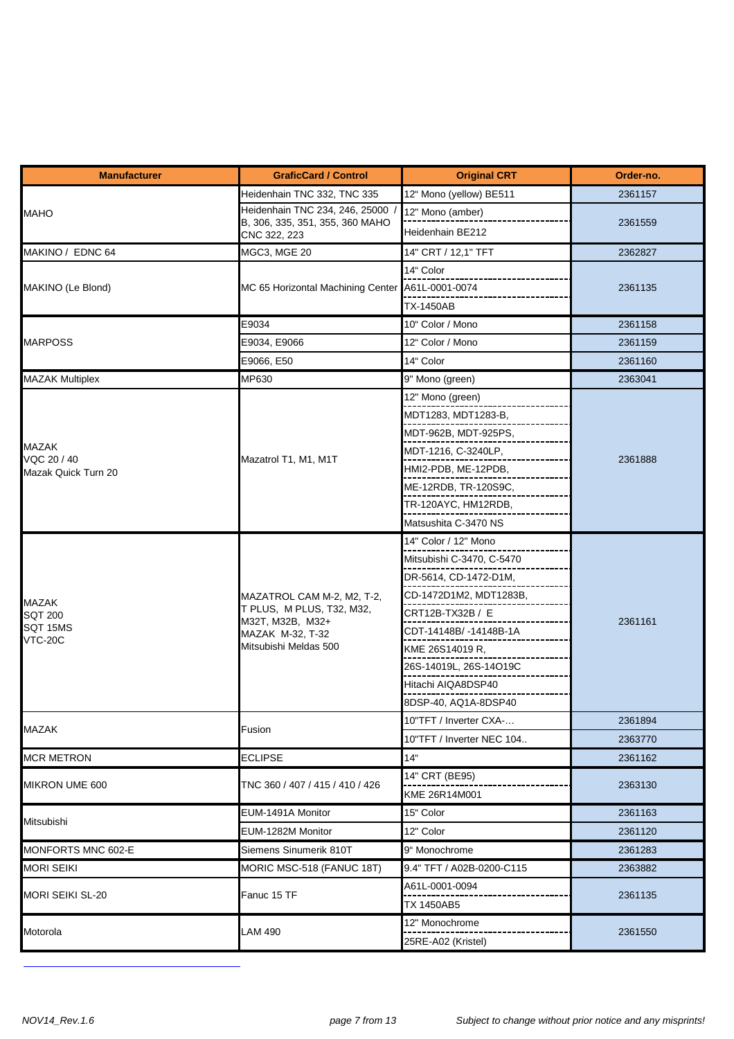| <b>Manufacturer</b>                | <b>GraficCard / Control</b>                                                                                              | <b>Original CRT</b>                                 | Order-no. |  |
|------------------------------------|--------------------------------------------------------------------------------------------------------------------------|-----------------------------------------------------|-----------|--|
|                                    | Heidenhain TNC 332, TNC 335                                                                                              | 12" Mono (yellow) BE511                             | 2361157   |  |
| <b>MAHO</b>                        | Heidenhain TNC 234, 246, 25000                                                                                           | 12" Mono (amber)                                    |           |  |
|                                    | B, 306, 335, 351, 355, 360 MAHO<br>CNC 322, 223                                                                          | Heidenhain BE212                                    | 2361559   |  |
| MAKINO / EDNC 64                   | MGC3, MGE 20                                                                                                             | 14" CRT / 12,1" TFT                                 | 2362827   |  |
|                                    |                                                                                                                          | 14" Color                                           |           |  |
| MAKINO (Le Blond)                  | MC 65 Horizontal Machining Center A61L-0001-0074                                                                         |                                                     | 2361135   |  |
|                                    |                                                                                                                          | <b>TX-1450AB</b>                                    |           |  |
|                                    | E9034                                                                                                                    | 10" Color / Mono                                    | 2361158   |  |
| <b>MARPOSS</b>                     | E9034, E9066                                                                                                             | 12" Color / Mono                                    | 2361159   |  |
|                                    | E9066, E50                                                                                                               | 14" Color                                           | 2361160   |  |
| <b>MAZAK Multiplex</b>             | MP630                                                                                                                    | 9" Mono (green)                                     | 2363041   |  |
|                                    |                                                                                                                          | 12" Mono (green)                                    |           |  |
|                                    |                                                                                                                          | MDT1283, MDT1283-B,                                 |           |  |
|                                    |                                                                                                                          | MDT-962B, MDT-925PS,                                |           |  |
| <b>MAZAK</b>                       |                                                                                                                          | MDT-1216, C-3240LP,                                 |           |  |
| VQC 20 / 40<br>Mazak Quick Turn 20 | Mazatrol T1, M1, M1T                                                                                                     | HMI2-PDB, ME-12PDB,                                 | 2361888   |  |
|                                    |                                                                                                                          | ME-12RDB, TR-120S9C,                                |           |  |
|                                    |                                                                                                                          | TR-120AYC, HM12RDB,                                 |           |  |
|                                    |                                                                                                                          | Matsushita C-3470 NS                                |           |  |
|                                    | MAZATROL CAM M-2, M2, T-2,<br>T PLUS, M PLUS, T32, M32,<br>M32T, M32B, M32+<br>MAZAK M-32, T-32<br>Mitsubishi Meldas 500 | 14" Color / 12" Mono                                |           |  |
|                                    |                                                                                                                          | Mitsubishi C-3470, C-5470                           |           |  |
|                                    |                                                                                                                          | DR-5614, CD-1472-D1M,                               |           |  |
|                                    |                                                                                                                          | CD-1472D1M2, MDT1283B,                              |           |  |
| <b>MAZAK</b><br><b>SQT 200</b>     |                                                                                                                          | CRT12B-TX32B / E                                    |           |  |
| SQT 15MS                           |                                                                                                                          | CDT-14148B/-14148B-1A                               | 2361161   |  |
| <b>VTC-20C</b>                     |                                                                                                                          | KME 26S14019 R,                                     |           |  |
|                                    |                                                                                                                          | 26S-14019L, 26S-14O19C                              |           |  |
|                                    |                                                                                                                          | Hitachi AIQA8DSP40                                  |           |  |
|                                    |                                                                                                                          | 8DSP-40, AQ1A-8DSP40                                |           |  |
|                                    |                                                                                                                          |                                                     | 2361894   |  |
| <b>MAZAK</b>                       | Fusion                                                                                                                   | 10"TFT / Inverter CXA-<br>10"TFT / Inverter NEC 104 | 2363770   |  |
| <b>MCR METRON</b>                  | <b>ECLIPSE</b>                                                                                                           | 14 <sup>"</sup>                                     | 2361162   |  |
|                                    |                                                                                                                          | 14" CRT (BE95)                                      |           |  |
| MIKRON UME 600                     | TNC 360 / 407 / 415 / 410 / 426                                                                                          | KME 26R14M001                                       | 2363130   |  |
|                                    | EUM-1491A Monitor                                                                                                        | 15" Color                                           | 2361163   |  |
| Mitsubishi                         | EUM-1282M Monitor                                                                                                        | 12" Color                                           | 2361120   |  |
| MONFORTS MNC 602-E                 | Siemens Sinumerik 810T                                                                                                   | 9" Monochrome                                       | 2361283   |  |
| <b>MORI SEIKI</b>                  | MORIC MSC-518 (FANUC 18T)                                                                                                | 9.4" TFT / A02B-0200-C115                           | 2363882   |  |
|                                    |                                                                                                                          | A61L-0001-0094                                      |           |  |
| <b>MORI SEIKI SL-20</b>            | Fanuc 15 TF                                                                                                              | TX 1450AB5                                          | 2361135   |  |
|                                    |                                                                                                                          | 12" Monochrome                                      |           |  |
| Motorola                           | LAM 490                                                                                                                  | 25RE-A02 (Kristel)                                  | 2361550   |  |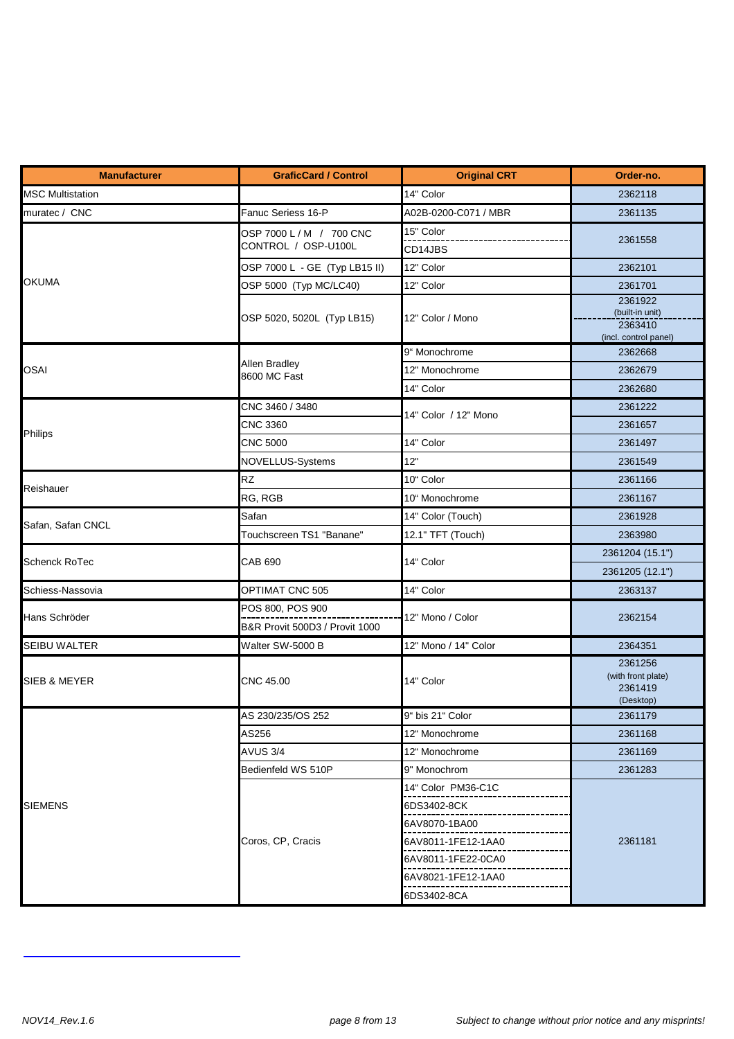| <b>Manufacturer</b>     | <b>GraficCard / Control</b>                     | <b>Original CRT</b>  | Order-no.                                                      |
|-------------------------|-------------------------------------------------|----------------------|----------------------------------------------------------------|
| <b>MSC Multistation</b> |                                                 | 14" Color            | 2362118                                                        |
| muratec / CNC           | Fanuc Seriess 16-P                              | A02B-0200-C071 / MBR | 2361135                                                        |
|                         | OSP 7000 L / M / 700 CNC<br>CONTROL / OSP-U100L | 15" Color<br>CD14JBS | 2361558                                                        |
|                         | OSP 7000 L - GE (Typ LB15 II)                   | 12" Color            | 2362101                                                        |
| <b>OKUMA</b>            | OSP 5000 (Typ MC/LC40)                          | 12" Color            | 2361701                                                        |
|                         | OSP 5020, 5020L (Typ LB15)                      | 12" Color / Mono     | 2361922<br>(built-in unit)<br>2363410<br>(incl. control panel) |
|                         |                                                 | 9" Monochrome        | 2362668                                                        |
| <b>OSAI</b>             | Allen Bradley<br>8600 MC Fast                   | 12" Monochrome       | 2362679                                                        |
|                         |                                                 | 14" Color            | 2362680                                                        |
|                         | CNC 3460 / 3480                                 | 14" Color / 12" Mono | 2361222                                                        |
| Philips                 | CNC 3360                                        |                      | 2361657                                                        |
|                         | <b>CNC 5000</b>                                 | 14" Color            | 2361497                                                        |
|                         | <b>NOVELLUS-Systems</b>                         | 12"                  | 2361549                                                        |
| Reishauer               | <b>RZ</b>                                       | 10" Color            | 2361166                                                        |
|                         | RG, RGB                                         | 10" Monochrome       | 2361167                                                        |
|                         | Safan                                           | 14" Color (Touch)    | 2361928                                                        |
| Safan, Safan CNCL       | Touchscreen TS1 "Banane"                        | 12.1" TFT (Touch)    | 2363980                                                        |
| <b>Schenck RoTec</b>    | <b>CAB 690</b>                                  | 14" Color            | 2361204 (15.1")                                                |
|                         |                                                 |                      | 2361205 (12.1")                                                |
| Schiess-Nassovia        | OPTIMAT CNC 505                                 | 14" Color            | 2363137                                                        |
| Hans Schröder           | POS 800, POS 900                                | 12" Mono / Color     |                                                                |
|                         | B&R Provit 500D3 / Provit 1000                  |                      | 2362154                                                        |
| <b>SEIBU WALTER</b>     | Walter SW-5000 B                                | 12" Mono / 14" Color | 2364351                                                        |
| SIEB & MEYER            | CNC 45.00                                       | 14" Color            | 2361256<br>(with front plate)<br>2361419<br>(Desktop)          |
|                         | AS 230/235/OS 252                               | 9" bis 21" Color     | 2361179                                                        |
|                         | AS256                                           | 12" Monochrome       | 2361168                                                        |
|                         | AVUS 3/4                                        | 12" Monochrome       | 2361169                                                        |
|                         | Bedienfeld WS 510P                              | 9" Monochrom         | 2361283                                                        |
| <b>SIEMENS</b>          |                                                 | 14" Color PM36-C1C   |                                                                |
|                         |                                                 | 6DS3402-8CK          |                                                                |
|                         |                                                 | 6AV8070-1BA00        |                                                                |
|                         | Coros, CP, Cracis                               | 6AV8011-1FE12-1AA0   | 2361181                                                        |
|                         |                                                 | 6AV8011-1FE22-0CA0   |                                                                |
|                         |                                                 | 6AV8021-1FE12-1AA0   |                                                                |
|                         |                                                 | 6DS3402-8CA          |                                                                |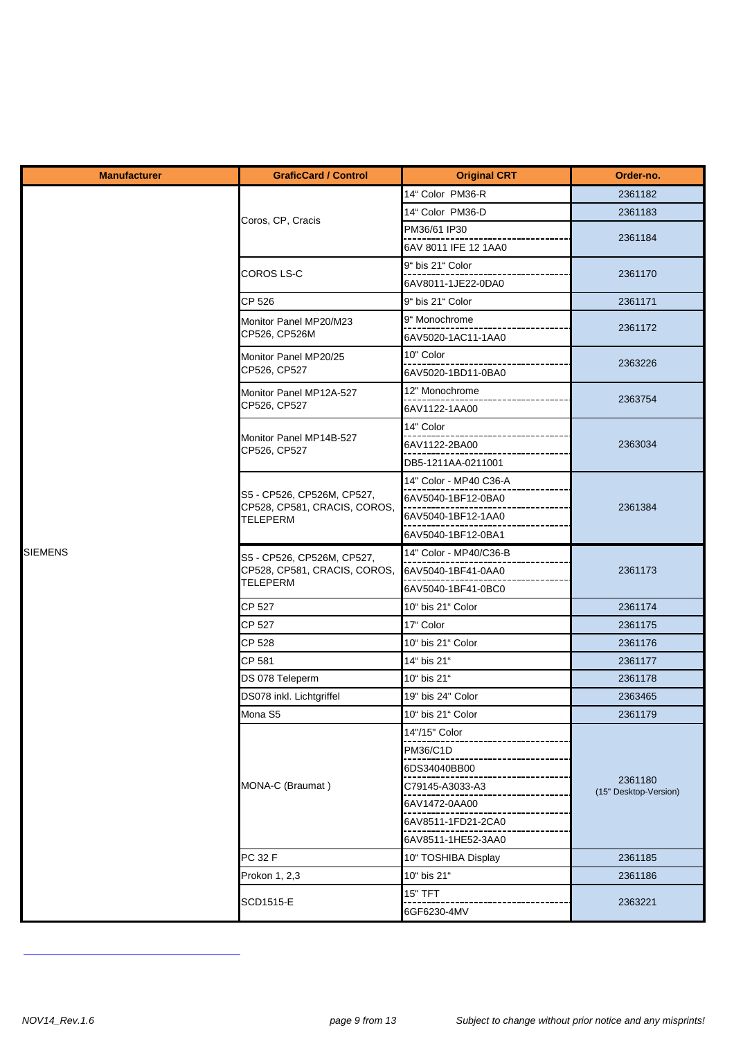| <b>Manufacturer</b> | <b>GraficCard / Control</b>                                                   | <b>Original CRT</b>    | Order-no.             |
|---------------------|-------------------------------------------------------------------------------|------------------------|-----------------------|
|                     |                                                                               | 14" Color PM36-R       | 2361182               |
|                     |                                                                               | 14" Color PM36-D       | 2361183               |
|                     | Coros, CP, Cracis                                                             | PM36/61 IP30           |                       |
|                     |                                                                               | 6AV 8011 IFE 12 1AA0   | 2361184               |
|                     | COROS LS-C                                                                    | 9" bis 21" Color       | 2361170               |
|                     |                                                                               | 6AV8011-1JE22-0DA0     |                       |
|                     | CP 526                                                                        | 9" bis 21" Color       | 2361171               |
|                     | Monitor Panel MP20/M23                                                        | 9" Monochrome          | 2361172               |
|                     | CP526, CP526M                                                                 | 6AV5020-1AC11-1AA0     |                       |
|                     | Monitor Panel MP20/25                                                         | 10" Color              | 2363226               |
|                     | CP526, CP527                                                                  | 6AV5020-1BD11-0BA0     |                       |
|                     | Monitor Panel MP12A-527                                                       | 12" Monochrome         | 2363754               |
|                     | CP526, CP527                                                                  | 6AV1122-1AA00          |                       |
|                     | Monitor Panel MP14B-527                                                       | 14" Color              |                       |
|                     | CP526, CP527                                                                  | 6AV1122-2BA00          | 2363034               |
|                     |                                                                               | DB5-1211AA-0211001     |                       |
|                     |                                                                               | 14" Color - MP40 C36-A |                       |
|                     | S5 - CP526, CP526M, CP527,<br>CP528, CP581, CRACIS, COROS,                    | 6AV5040-1BF12-0BA0     | 2361384               |
|                     | <b>TELEPERM</b>                                                               | 6AV5040-1BF12-1AA0     |                       |
|                     |                                                                               | 6AV5040-1BF12-0BA1     |                       |
| <b>SIEMENS</b>      | S5 - CP526, CP526M, CP527,<br>CP528, CP581, CRACIS, COROS,<br><b>TELEPERM</b> | 14" Color - MP40/C36-B |                       |
|                     |                                                                               | 6AV5040-1BF41-0AA0     | 2361173               |
|                     |                                                                               | 6AV5040-1BF41-0BC0     |                       |
|                     | <b>CP 527</b>                                                                 | 10" bis 21" Color      | 2361174               |
|                     | CP 527                                                                        | 17" Color              | 2361175               |
|                     | CP 528                                                                        | 10" bis 21" Color      | 2361176               |
|                     | CP 581                                                                        | 14" bis 21"            | 2361177               |
|                     | DS 078 Teleperm                                                               | 10" bis 21"            | 2361178               |
|                     | DS078 inkl. Lichtgriffel                                                      | 19" bis 24" Color      | 2363465               |
|                     | Mona S5                                                                       | 10" bis 21" Color      | 2361179               |
|                     |                                                                               | 14"/15" Color          |                       |
|                     |                                                                               | <b>PM36/C1D</b>        |                       |
|                     |                                                                               | 6DS34040BB00           | 2361180               |
|                     | MONA-C (Braumat)                                                              | C79145-A3033-A3        | (15" Desktop-Version) |
|                     |                                                                               | 6AV1472-0AA00          |                       |
|                     |                                                                               | 6AV8511-1FD21-2CA0     |                       |
|                     |                                                                               | 6AV8511-1HE52-3AA0     |                       |
|                     | PC 32 F                                                                       | 10" TOSHIBA Display    | 2361185               |
|                     | Prokon 1, 2,3                                                                 | 10" bis 21"            | 2361186               |
|                     | SCD1515-E                                                                     | <b>15" TFT</b>         | 2363221               |
|                     |                                                                               | 6GF6230-4MV            |                       |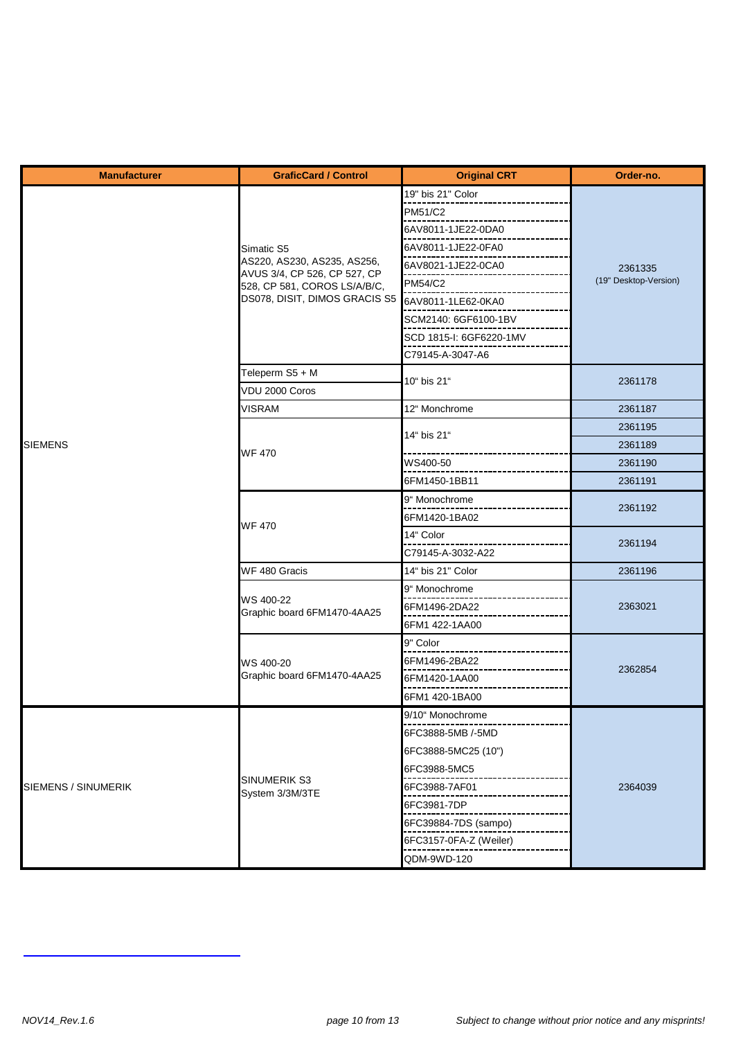| <b>Manufacturer</b> | <b>GraficCard / Control</b>                                  | <b>Original CRT</b>     | Order-no.                        |
|---------------------|--------------------------------------------------------------|-------------------------|----------------------------------|
|                     |                                                              | 19" bis 21" Color       |                                  |
|                     |                                                              | PM51/C2                 |                                  |
|                     |                                                              | 6AV8011-1JE22-0DA0      | 2361335<br>(19" Desktop-Version) |
|                     | Simatic S5                                                   | 6AV8011-1JE22-0FA0      |                                  |
|                     | AS220, AS230, AS235, AS256,                                  | 6AV8021-1JE22-0CA0      |                                  |
|                     | AVUS 3/4, CP 526, CP 527, CP<br>528, CP 581, COROS LS/A/B/C, | <b>PM54/C2</b>          |                                  |
|                     | DS078, DISIT, DIMOS GRACIS S5                                | 6AV8011-1LE62-0KA0      |                                  |
|                     |                                                              | SCM2140: 6GF6100-1BV    |                                  |
|                     |                                                              | SCD 1815-I: 6GF6220-1MV |                                  |
|                     |                                                              | C79145-A-3047-A6        |                                  |
|                     | Teleperm S5 + M                                              | 10" bis 21"             | 2361178                          |
|                     | VDU 2000 Coros                                               |                         |                                  |
|                     | <b>VISRAM</b>                                                | 12" Monchrome           | 2361187                          |
|                     |                                                              | 14" bis 21"             | 2361195                          |
| <b>SIEMENS</b>      | <b>WF 470</b>                                                |                         | 2361189                          |
|                     |                                                              | WS400-50                | 2361190                          |
|                     |                                                              | 6FM1450-1BB11           | 2361191                          |
|                     | <b>WF470</b>                                                 | 9" Monochrome           | 2361192                          |
|                     |                                                              | 6FM1420-1BA02           |                                  |
|                     |                                                              | 14" Color               | 2361194                          |
|                     |                                                              | C79145-A-3032-A22       |                                  |
|                     | WF 480 Gracis                                                | 14" bis 21" Color       | 2361196                          |
|                     |                                                              | 9" Monochrome           | 2363021                          |
|                     | WS 400-22<br>Graphic board 6FM1470-4AA25                     | 6FM1496-2DA22           |                                  |
|                     |                                                              | 6FM1 422-1AA00          |                                  |
|                     |                                                              | 9" Color                |                                  |
|                     | WS 400-20                                                    | 6FM1496-2BA22           | 2362854                          |
|                     | Graphic board 6FM1470-4AA25                                  | 6FM1420-1AA00           |                                  |
|                     |                                                              | 6FM1 420-1BA00          |                                  |
|                     |                                                              | 9/10" Monochrome        |                                  |
|                     |                                                              | 6FC3888-5MB /-5MD       |                                  |
|                     |                                                              | 6FC3888-5MC25 (10")     |                                  |
|                     |                                                              | 6FC3988-5MC5            |                                  |
| SIEMENS / SINUMERIK | <b>SINUMERIK S3</b><br>System 3/3M/3TE                       | 6FC3988-7AF01           | 2364039                          |
|                     |                                                              | 6FC3981-7DP             |                                  |
|                     |                                                              | 6FC39884-7DS (sampo)    |                                  |
|                     |                                                              | 6FC3157-0FA-Z (Weiler)  |                                  |
|                     |                                                              | QDM-9WD-120             |                                  |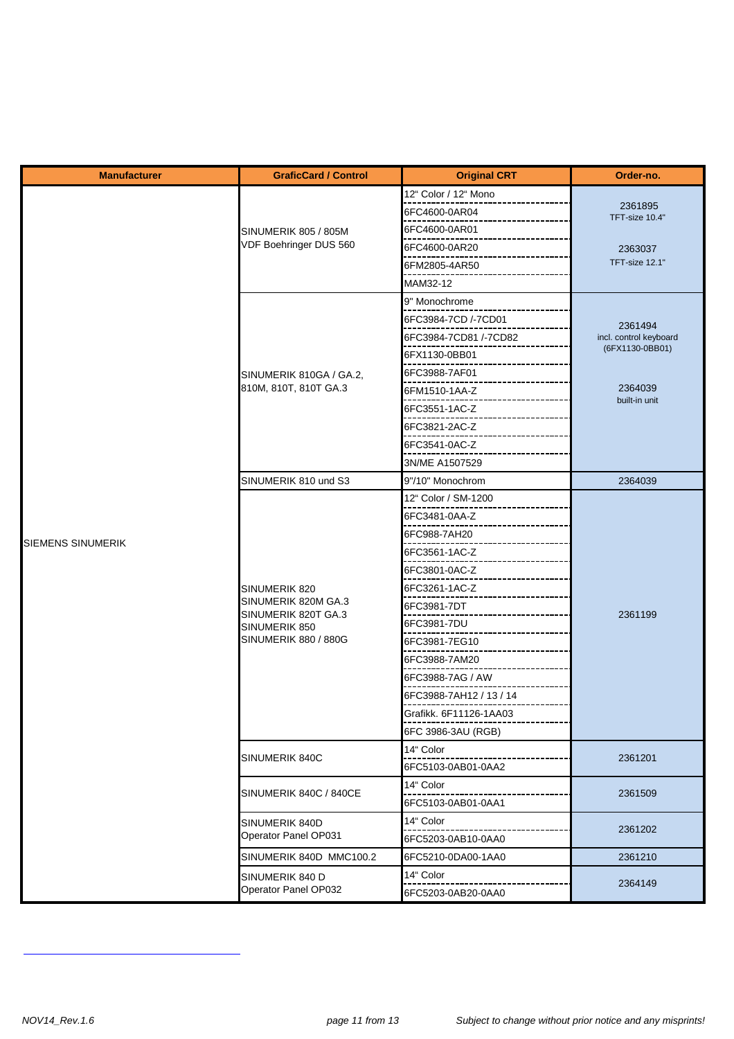| <b>Manufacturer</b>      | <b>GraficCard / Control</b>                                                                          | <b>Original CRT</b>     | Order-no.                 |
|--------------------------|------------------------------------------------------------------------------------------------------|-------------------------|---------------------------|
|                          |                                                                                                      | 12" Color / 12" Mono    |                           |
|                          |                                                                                                      | 6FC4600-0AR04           | 2361895<br>TFT-size 10.4" |
|                          | SINUMERIK 805 / 805M                                                                                 | 6FC4600-0AR01           |                           |
|                          | VDF Boehringer DUS 560                                                                               | 6FC4600-0AR20           | 2363037                   |
|                          |                                                                                                      | 6FM2805-4AR50           | TFT-size 12.1"            |
|                          |                                                                                                      | MAM32-12                |                           |
|                          |                                                                                                      | 9" Monochrome           |                           |
|                          |                                                                                                      | 6FC3984-7CD /-7CD01     | 2361494                   |
|                          |                                                                                                      | 6FC3984-7CD81 /-7CD82   | incl. control keyboard    |
|                          |                                                                                                      | 6FX1130-0BB01           | (6FX1130-0BB01)           |
|                          | SINUMERIK 810GA / GA.2,                                                                              | 6FC3988-7AF01           |                           |
|                          | 810M, 810T, 810T GA.3                                                                                | 6FM1510-1AA-Z           | 2364039                   |
|                          |                                                                                                      | 6FC3551-1AC-Z           | built-in unit             |
|                          |                                                                                                      | 6FC3821-2AC-Z           |                           |
|                          |                                                                                                      | 6FC3541-0AC-Z           |                           |
|                          |                                                                                                      | 3N/ME A1507529          |                           |
|                          | SINUMERIK 810 und S3                                                                                 | 9"/10" Monochrom        | 2364039                   |
|                          | SINUMERIK 820<br>SINUMERIK 820M GA.3<br>SINUMERIK 820T GA.3<br>SINUMERIK 850<br>SINUMERIK 880 / 880G | 12" Color / SM-1200     |                           |
|                          |                                                                                                      | 6FC3481-0AA-Z           |                           |
|                          |                                                                                                      | 6FC988-7AH20            |                           |
| <b>SIEMENS SINUMERIK</b> |                                                                                                      | 6FC3561-1AC-Z           |                           |
|                          |                                                                                                      | 6FC3801-0AC-Z           |                           |
|                          |                                                                                                      | 6FC3261-1AC-Z           |                           |
|                          |                                                                                                      | 6FC3981-7DT             |                           |
|                          |                                                                                                      | 6FC3981-7DU             | 2361199                   |
|                          |                                                                                                      | 6FC3981-7EG10           |                           |
|                          |                                                                                                      | 6FC3988-7AM20           |                           |
|                          |                                                                                                      | 6FC3988-7AG / AW        |                           |
|                          |                                                                                                      | 6FC3988-7AH12 / 13 / 14 |                           |
|                          |                                                                                                      | Grafikk. 6F11126-1AA03  |                           |
|                          |                                                                                                      | 6FC 3986-3AU (RGB)      |                           |
|                          |                                                                                                      | 14" Color               |                           |
|                          | SINUMERIK 840C                                                                                       | 6FC5103-0AB01-0AA2      | 2361201                   |
|                          |                                                                                                      | 14" Color               |                           |
|                          | SINUMERIK 840C / 840CE                                                                               | 6FC5103-0AB01-0AA1      | 2361509                   |
|                          | SINUMERIK 840D                                                                                       | 14" Color               |                           |
|                          | Operator Panel OP031                                                                                 | 6FC5203-0AB10-0AA0      | 2361202                   |
|                          | SINUMERIK 840D MMC100.2                                                                              | 6FC5210-0DA00-1AA0      | 2361210                   |
|                          | SINUMERIK 840 D                                                                                      | 14" Color               |                           |
|                          | Operator Panel OP032                                                                                 | 6FC5203-0AB20-0AA0      | 2364149                   |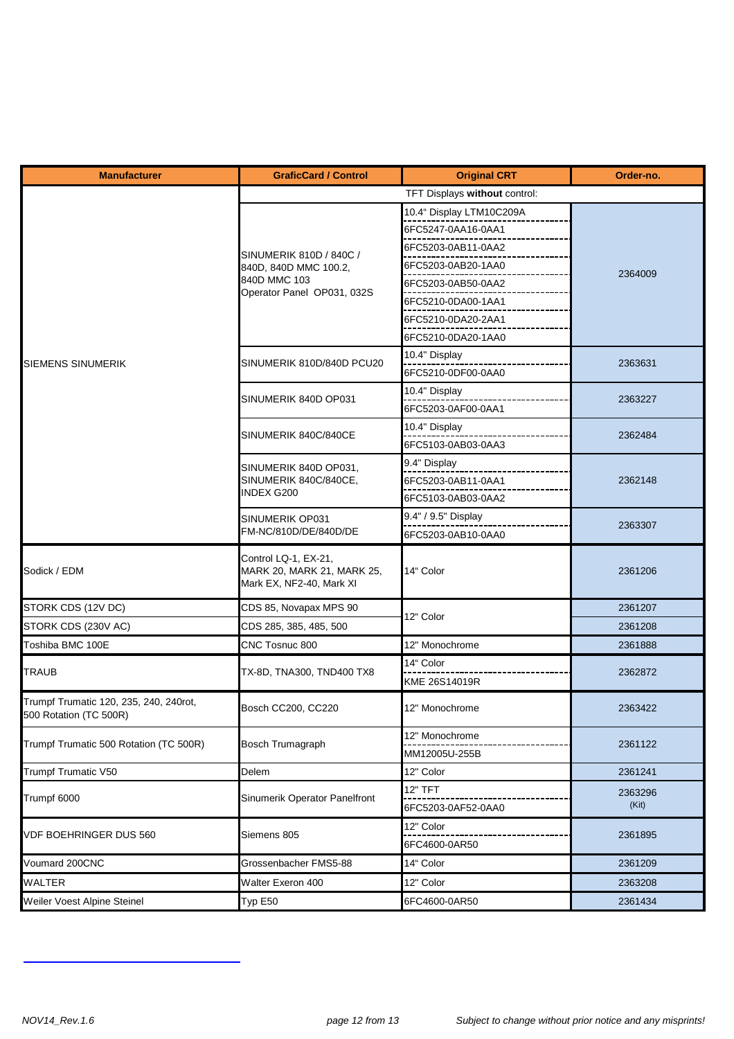| <b>Manufacturer</b>                                              | <b>GraficCard / Control</b>                                                    | <b>Original CRT</b>             | Order-no. |
|------------------------------------------------------------------|--------------------------------------------------------------------------------|---------------------------------|-----------|
|                                                                  | TFT Displays without control:                                                  |                                 |           |
|                                                                  |                                                                                | 10.4" Display LTM10C209A        |           |
|                                                                  |                                                                                | 6FC5247-0AA16-0AA1              |           |
|                                                                  | SINUMERIK 810D / 840C /                                                        | 6FC5203-0AB11-0AA2              |           |
|                                                                  | 840D, 840D MMC 100.2,                                                          | 6FC5203-0AB20-1AA0              |           |
|                                                                  | 840D MMC 103                                                                   | 6FC5203-0AB50-0AA2              | 2364009   |
|                                                                  | Operator Panel OP031, 032S                                                     | 6FC5210-0DA00-1AA1              |           |
|                                                                  |                                                                                | 6FC5210-0DA20-2AA1              |           |
|                                                                  |                                                                                | 6FC5210-0DA20-1AA0              |           |
|                                                                  |                                                                                | 10.4" Display                   |           |
| <b>SIEMENS SINUMERIK</b>                                         | SINUMERIK 810D/840D PCU20                                                      | 6FC5210-0DF00-0AA0              | 2363631   |
|                                                                  | SINUMERIK 840D OP031                                                           | 10.4" Display                   | 2363227   |
|                                                                  |                                                                                | 6FC5203-0AF00-0AA1              |           |
|                                                                  | SINUMERIK 840C/840CE                                                           | 10.4" Display                   | 2362484   |
|                                                                  |                                                                                | 6FC5103-0AB03-0AA3              |           |
|                                                                  | SINUMERIK 840D OP031,                                                          | 9.4" Display                    |           |
|                                                                  | SINUMERIK 840C/840CE,                                                          | 6FC5203-0AB11-0AA1              | 2362148   |
|                                                                  | <b>INDEX G200</b>                                                              | 6FC5103-0AB03-0AA2              |           |
|                                                                  | SINUMERIK OP031<br>FM-NC/810D/DE/840D/DE                                       | 9.4" / 9.5" Display             | 2363307   |
|                                                                  |                                                                                | 6FC5203-0AB10-0AA0              |           |
| Sodick / EDM                                                     | Control LQ-1, EX-21,<br>MARK 20, MARK 21, MARK 25,<br>Mark EX, NF2-40, Mark XI | 14" Color                       | 2361206   |
| STORK CDS (12V DC)                                               | CDS 85, Novapax MPS 90                                                         |                                 | 2361207   |
| STORK CDS (230V AC)                                              | CDS 285, 385, 485, 500                                                         | 12" Color                       | 2361208   |
| Toshiba BMC 100E                                                 | CNC Tosnuc 800                                                                 | 12" Monochrome                  | 2361888   |
|                                                                  |                                                                                | 14" Color                       |           |
| <b>TRAUB</b>                                                     | TX-8D, TNA300, TND400 TX8                                                      | KME 26S14019R                   | 2362872   |
| Trumpf Trumatic 120, 235, 240, 240rot,<br>500 Rotation (TC 500R) | Bosch CC200, CC220                                                             | 12" Monochrome                  | 2363422   |
| Trumpf Trumatic 500 Rotation (TC 500R)                           | <b>Bosch Trumagraph</b>                                                        | 12" Monochrome<br>MM12005U-255B | 2361122   |
| Trumpf Trumatic V50                                              | Delem                                                                          | 12" Color                       | 2361241   |
|                                                                  |                                                                                | <b>12" TFT</b>                  | 2363296   |
| Trumpf 6000                                                      | Sinumerik Operator Panelfront                                                  | 6FC5203-0AF52-0AA0              | (Kit)     |
|                                                                  |                                                                                | 12" Color                       |           |
| <b>VDF BOEHRINGER DUS 560</b>                                    | Siemens 805                                                                    | 6FC4600-0AR50                   | 2361895   |
| Voumard 200CNC                                                   | Grossenbacher FMS5-88                                                          | 14" Color                       | 2361209   |
| <b>WALTER</b>                                                    | Walter Exeron 400                                                              | 12" Color                       | 2363208   |
| Weiler Voest Alpine Steinel                                      | Typ E50                                                                        | 6FC4600-0AR50                   | 2361434   |